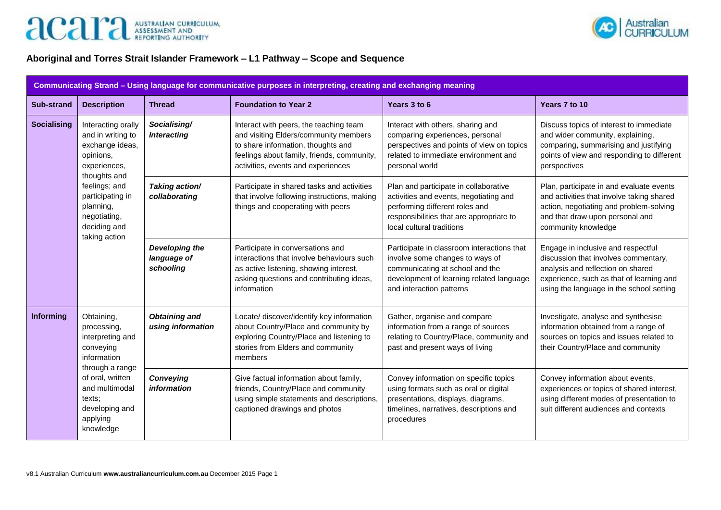



## **Aboriginal and Torres Strait Islander Framework – L1 Pathway – Scope and Sequence**

| Communicating Strand - Using language for communicative purposes in interpreting, creating and exchanging meaning |                                                                                                         |                                            |                                                                                                                                                                                                           |                                                                                                                                                                                            |                                                                                                                                                                                                         |  |
|-------------------------------------------------------------------------------------------------------------------|---------------------------------------------------------------------------------------------------------|--------------------------------------------|-----------------------------------------------------------------------------------------------------------------------------------------------------------------------------------------------------------|--------------------------------------------------------------------------------------------------------------------------------------------------------------------------------------------|---------------------------------------------------------------------------------------------------------------------------------------------------------------------------------------------------------|--|
| <b>Sub-strand</b>                                                                                                 | <b>Description</b>                                                                                      | <b>Thread</b>                              | <b>Foundation to Year 2</b>                                                                                                                                                                               | Years 3 to 6                                                                                                                                                                               | Years 7 to 10                                                                                                                                                                                           |  |
| <b>Socialising</b>                                                                                                | Interacting orally<br>and in writing to<br>exchange ideas,<br>opinions,<br>experiences,<br>thoughts and | Socialising/<br><b>Interacting</b>         | Interact with peers, the teaching team<br>and visiting Elders/community members<br>to share information, thoughts and<br>feelings about family, friends, community,<br>activities, events and experiences | Interact with others, sharing and<br>comparing experiences, personal<br>perspectives and points of view on topics<br>related to immediate environment and<br>personal world                | Discuss topics of interest to immediate<br>and wider community, explaining,<br>comparing, summarising and justifying<br>points of view and responding to different<br>perspectives                      |  |
|                                                                                                                   | feelings; and<br>participating in<br>planning,<br>negotiating,<br>deciding and<br>taking action         | Taking action/<br>collaborating            | Participate in shared tasks and activities<br>that involve following instructions, making<br>things and cooperating with peers                                                                            | Plan and participate in collaborative<br>activities and events, negotiating and<br>performing different roles and<br>responsibilities that are appropriate to<br>local cultural traditions | Plan, participate in and evaluate events<br>and activities that involve taking shared<br>action, negotiating and problem-solving<br>and that draw upon personal and<br>community knowledge              |  |
|                                                                                                                   |                                                                                                         | Developing the<br>language of<br>schooling | Participate in conversations and<br>interactions that involve behaviours such<br>as active listening, showing interest,<br>asking questions and contributing ideas,<br>information                        | Participate in classroom interactions that<br>involve some changes to ways of<br>communicating at school and the<br>development of learning related language<br>and interaction patterns   | Engage in inclusive and respectful<br>discussion that involves commentary,<br>analysis and reflection on shared<br>experience, such as that of learning and<br>using the language in the school setting |  |
| Informing                                                                                                         | Obtaining,<br>processing,<br>interpreting and<br>conveying<br>information<br>through a range            | <b>Obtaining and</b><br>using information  | Locate/ discover/identify key information<br>about Country/Place and community by<br>exploring Country/Place and listening to<br>stories from Elders and community<br>members                             | Gather, organise and compare<br>information from a range of sources<br>relating to Country/Place, community and<br>past and present ways of living                                         | Investigate, analyse and synthesise<br>information obtained from a range of<br>sources on topics and issues related to<br>their Country/Place and community                                             |  |
|                                                                                                                   | of oral, written<br>and multimodal<br>texts;<br>developing and<br>applying<br>knowledge                 | <b>Conveying</b><br>information            | Give factual information about family,<br>friends, Country/Place and community<br>using simple statements and descriptions,<br>captioned drawings and photos                                              | Convey information on specific topics<br>using formats such as oral or digital<br>presentations, displays, diagrams,<br>timelines, narratives, descriptions and<br>procedures              | Convey information about events,<br>experiences or topics of shared interest,<br>using different modes of presentation to<br>suit different audiences and contexts                                      |  |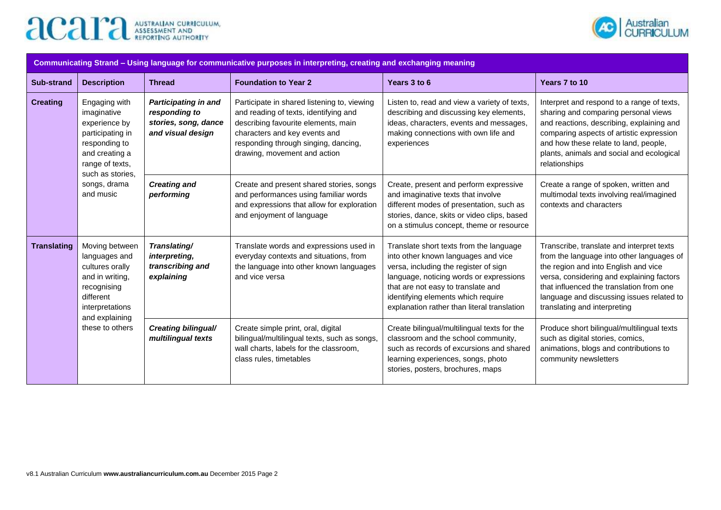



| Communicating Strand - Using language for communicative purposes in interpreting, creating and exchanging meaning |                                                                                                                                                           |                                                                                           |                                                                                                                                                                                                                                      |                                                                                                                                                                                                                                                                                               |                                                                                                                                                                                                                                                                                                      |  |  |
|-------------------------------------------------------------------------------------------------------------------|-----------------------------------------------------------------------------------------------------------------------------------------------------------|-------------------------------------------------------------------------------------------|--------------------------------------------------------------------------------------------------------------------------------------------------------------------------------------------------------------------------------------|-----------------------------------------------------------------------------------------------------------------------------------------------------------------------------------------------------------------------------------------------------------------------------------------------|------------------------------------------------------------------------------------------------------------------------------------------------------------------------------------------------------------------------------------------------------------------------------------------------------|--|--|
| <b>Sub-strand</b>                                                                                                 | <b>Description</b>                                                                                                                                        | <b>Thread</b>                                                                             | <b>Foundation to Year 2</b>                                                                                                                                                                                                          | Years 3 to 6                                                                                                                                                                                                                                                                                  | Years 7 to 10                                                                                                                                                                                                                                                                                        |  |  |
| <b>Creating</b>                                                                                                   | Engaging with<br>imaginative<br>experience by<br>participating in<br>responding to<br>and creating a<br>range of texts,<br>such as stories,               | <b>Participating in and</b><br>responding to<br>stories, song, dance<br>and visual design | Participate in shared listening to, viewing<br>and reading of texts, identifying and<br>describing favourite elements, main<br>characters and key events and<br>responding through singing, dancing,<br>drawing, movement and action | Listen to, read and view a variety of texts,<br>describing and discussing key elements,<br>ideas, characters, events and messages,<br>making connections with own life and<br>experiences                                                                                                     | Interpret and respond to a range of texts,<br>sharing and comparing personal views<br>and reactions, describing, explaining and<br>comparing aspects of artistic expression<br>and how these relate to land, people,<br>plants, animals and social and ecological<br>relationships                   |  |  |
|                                                                                                                   | songs, drama<br>and music                                                                                                                                 | <b>Creating and</b><br>performing                                                         | Create and present shared stories, songs<br>and performances using familiar words<br>and expressions that allow for exploration<br>and enjoyment of language                                                                         | Create, present and perform expressive<br>and imaginative texts that involve<br>different modes of presentation, such as<br>stories, dance, skits or video clips, based<br>on a stimulus concept, theme or resource                                                                           | Create a range of spoken, written and<br>multimodal texts involving real/imagined<br>contexts and characters                                                                                                                                                                                         |  |  |
| <b>Translating</b>                                                                                                | Moving between<br>languages and<br>cultures orally<br>and in writing,<br>recognising<br>different<br>interpretations<br>and explaining<br>these to others | Translating/<br>interpreting,<br>transcribing and<br>explaining                           | Translate words and expressions used in<br>everyday contexts and situations, from<br>the language into other known languages<br>and vice versa                                                                                       | Translate short texts from the language<br>into other known languages and vice<br>versa, including the register of sign<br>language, noticing words or expressions<br>that are not easy to translate and<br>identifying elements which require<br>explanation rather than literal translation | Transcribe, translate and interpret texts<br>from the language into other languages of<br>the region and into English and vice<br>versa, considering and explaining factors<br>that influenced the translation from one<br>language and discussing issues related to<br>translating and interpreting |  |  |
|                                                                                                                   |                                                                                                                                                           | Creating bilingual/<br>multilingual texts                                                 | Create simple print, oral, digital<br>bilingual/multilingual texts, such as songs,<br>wall charts, labels for the classroom,<br>class rules, timetables                                                                              | Create bilingual/multilingual texts for the<br>classroom and the school community,<br>such as records of excursions and shared<br>learning experiences, songs, photo<br>stories, posters, brochures, maps                                                                                     | Produce short bilingual/multilingual texts<br>such as digital stories, comics,<br>animations, blogs and contributions to<br>community newsletters                                                                                                                                                    |  |  |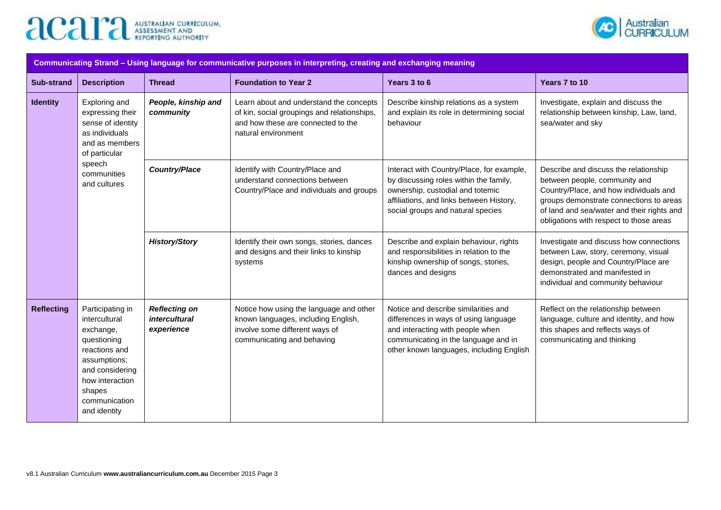



| Communicating Strand – Using language for communicative purposes in interpreting, creating and exchanging meaning |                                                                                                                                                                                 |                                                            |                                                                                                                                                     |                                                                                                                                                                                                          |                                                                                                                                                                                                                                                      |  |  |
|-------------------------------------------------------------------------------------------------------------------|---------------------------------------------------------------------------------------------------------------------------------------------------------------------------------|------------------------------------------------------------|-----------------------------------------------------------------------------------------------------------------------------------------------------|----------------------------------------------------------------------------------------------------------------------------------------------------------------------------------------------------------|------------------------------------------------------------------------------------------------------------------------------------------------------------------------------------------------------------------------------------------------------|--|--|
| Sub-strand                                                                                                        | <b>Description</b>                                                                                                                                                              | <b>Thread</b>                                              | <b>Foundation to Year 2</b>                                                                                                                         | Years 3 to 6                                                                                                                                                                                             | Years 7 to 10                                                                                                                                                                                                                                        |  |  |
| <b>Identity</b>                                                                                                   | Exploring and<br>expressing their<br>sense of identity<br>as individuals<br>and as members<br>of particular                                                                     | People, kinship and<br>community                           | Learn about and understand the concepts<br>of kin, social groupings and relationships,<br>and how these are connected to the<br>natural environment | Describe kinship relations as a system<br>and explain its role in determining social<br>behaviour                                                                                                        | Investigate, explain and discuss the<br>relationship between kinship, Law, land,<br>sea/water and sky                                                                                                                                                |  |  |
|                                                                                                                   | speech<br>communities<br>and cultures                                                                                                                                           | <b>Country/Place</b>                                       | Identify with Country/Place and<br>understand connections between<br>Country/Place and individuals and groups                                       | Interact with Country/Place, for example,<br>by discussing roles within the family,<br>ownership, custodial and totemic<br>affiliations, and links between History,<br>social groups and natural species | Describe and discuss the relationship<br>between people, community and<br>Country/Place, and how individuals and<br>groups demonstrate connections to areas<br>of land and sea/water and their rights and<br>obligations with respect to those areas |  |  |
|                                                                                                                   |                                                                                                                                                                                 | <b>History/Story</b>                                       | Identify their own songs, stories, dances<br>and designs and their links to kinship<br>systems                                                      | Describe and explain behaviour, rights<br>and responsibilities in relation to the<br>kinship ownership of songs, stories,<br>dances and designs                                                          | Investigate and discuss how connections<br>between Law, story, ceremony, visual<br>design, people and Country/Place are<br>demonstrated and manifested in<br>individual and community behaviour                                                      |  |  |
| <b>Reflecting</b>                                                                                                 | Participating in<br>intercultural<br>exchange,<br>questioning<br>reactions and<br>assumptions;<br>and considering<br>how interaction<br>shapes<br>communication<br>and identity | <b>Reflecting on</b><br><i>intercultural</i><br>experience | Notice how using the language and other<br>known languages, including English,<br>involve some different ways of<br>communicating and behaving      | Notice and describe similarities and<br>differences in ways of using language<br>and interacting with people when<br>communicating in the language and in<br>other known languages, including English    | Reflect on the relationship between<br>language, culture and identity, and how<br>this shapes and reflects ways of<br>communicating and thinking                                                                                                     |  |  |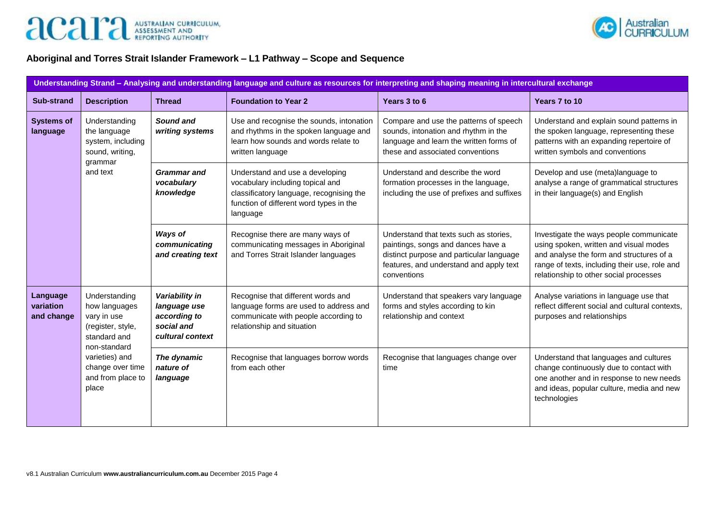



### **Aboriginal and Torres Strait Islander Framework – L1 Pathway – Scope and Sequence**

| Understanding Strand - Analysing and understanding language and culture as resources for interpreting and shaping meaning in intercultural exchange |                                                                                                    |                                                                                  |                                                                                                                                                                        |                                                                                                                                                                                    |                                                                                                                                                                                                                          |  |  |
|-----------------------------------------------------------------------------------------------------------------------------------------------------|----------------------------------------------------------------------------------------------------|----------------------------------------------------------------------------------|------------------------------------------------------------------------------------------------------------------------------------------------------------------------|------------------------------------------------------------------------------------------------------------------------------------------------------------------------------------|--------------------------------------------------------------------------------------------------------------------------------------------------------------------------------------------------------------------------|--|--|
| <b>Sub-strand</b>                                                                                                                                   | <b>Description</b>                                                                                 | <b>Thread</b>                                                                    | <b>Foundation to Year 2</b>                                                                                                                                            | Years 3 to 6                                                                                                                                                                       | Years 7 to 10                                                                                                                                                                                                            |  |  |
| <b>Systems of</b><br>language                                                                                                                       | Understanding<br>the language<br>system, including<br>sound, writing,<br>grammar                   | Sound and<br>writing systems                                                     | Use and recognise the sounds, intonation<br>and rhythms in the spoken language and<br>learn how sounds and words relate to<br>written language                         | Compare and use the patterns of speech<br>sounds, intonation and rhythm in the<br>language and learn the written forms of<br>these and associated conventions                      | Understand and explain sound patterns in<br>the spoken language, representing these<br>patterns with an expanding repertoire of<br>written symbols and conventions                                                       |  |  |
|                                                                                                                                                     | and text                                                                                           | <b>Grammar</b> and<br>vocabulary<br>knowledge                                    | Understand and use a developing<br>vocabulary including topical and<br>classificatory language, recognising the<br>function of different word types in the<br>language | Understand and describe the word<br>formation processes in the language,<br>including the use of prefixes and suffixes                                                             | Develop and use (meta)language to<br>analyse a range of grammatical structures<br>in their language(s) and English                                                                                                       |  |  |
|                                                                                                                                                     |                                                                                                    | Ways of<br>communicating<br>and creating text                                    | Recognise there are many ways of<br>communicating messages in Aboriginal<br>and Torres Strait Islander languages                                                       | Understand that texts such as stories,<br>paintings, songs and dances have a<br>distinct purpose and particular language<br>features, and understand and apply text<br>conventions | Investigate the ways people communicate<br>using spoken, written and visual modes<br>and analyse the form and structures of a<br>range of texts, including their use, role and<br>relationship to other social processes |  |  |
| Language<br>variation<br>and change                                                                                                                 | Understanding<br>how languages<br>vary in use<br>(register, style,<br>standard and<br>non-standard | Variability in<br>language use<br>according to<br>social and<br>cultural context | Recognise that different words and<br>language forms are used to address and<br>communicate with people according to<br>relationship and situation                     | Understand that speakers vary language<br>forms and styles according to kin<br>relationship and context                                                                            | Analyse variations in language use that<br>reflect different social and cultural contexts,<br>purposes and relationships                                                                                                 |  |  |
|                                                                                                                                                     | varieties) and<br>change over time<br>and from place to<br>place                                   | The dynamic<br>nature of<br>language                                             | Recognise that languages borrow words<br>from each other                                                                                                               | Recognise that languages change over<br>time                                                                                                                                       | Understand that languages and cultures<br>change continuously due to contact with<br>one another and in response to new needs<br>and ideas, popular culture, media and new<br>technologies                               |  |  |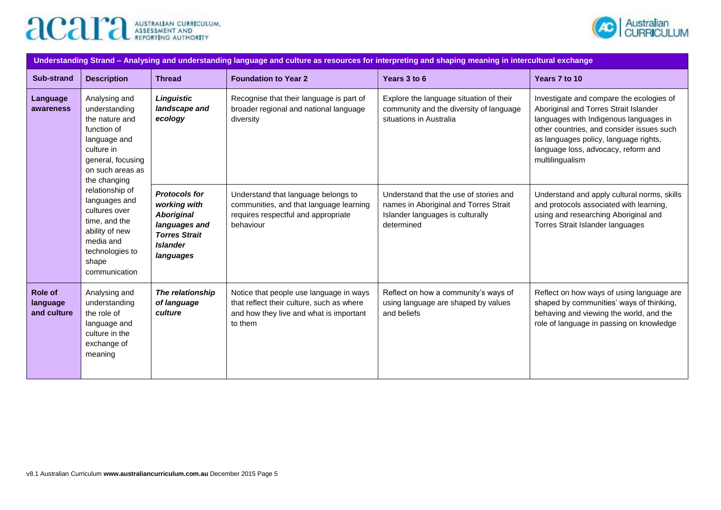



| Understanding Strand - Analysing and understanding language and culture as resources for interpreting and shaping meaning in intercultural exchange |                                                                                                                                                                                                                                                                                                          |                                                                                                                                    |                                                                                                                                            |                                                                                                                                   |                                                                                                                                                                                                                                                                             |  |  |
|-----------------------------------------------------------------------------------------------------------------------------------------------------|----------------------------------------------------------------------------------------------------------------------------------------------------------------------------------------------------------------------------------------------------------------------------------------------------------|------------------------------------------------------------------------------------------------------------------------------------|--------------------------------------------------------------------------------------------------------------------------------------------|-----------------------------------------------------------------------------------------------------------------------------------|-----------------------------------------------------------------------------------------------------------------------------------------------------------------------------------------------------------------------------------------------------------------------------|--|--|
| <b>Sub-strand</b>                                                                                                                                   | <b>Description</b>                                                                                                                                                                                                                                                                                       | <b>Thread</b>                                                                                                                      | <b>Foundation to Year 2</b>                                                                                                                | Years 3 to 6                                                                                                                      | Years 7 to 10                                                                                                                                                                                                                                                               |  |  |
| Language<br>awareness                                                                                                                               | Analysing and<br>understanding<br>the nature and<br>function of<br>language and<br>culture in<br>general, focusing<br>on such areas as<br>the changing<br>relationship of<br>languages and<br>cultures over<br>time, and the<br>ability of new<br>media and<br>technologies to<br>shape<br>communication | Linguistic<br>landscape and<br>ecology                                                                                             | Recognise that their language is part of<br>broader regional and national language<br>diversity                                            | Explore the language situation of their<br>community and the diversity of language<br>situations in Australia                     | Investigate and compare the ecologies of<br>Aboriginal and Torres Strait Islander<br>languages with Indigenous languages in<br>other countries, and consider issues such<br>as languages policy, language rights,<br>language loss, advocacy, reform and<br>multilingualism |  |  |
|                                                                                                                                                     |                                                                                                                                                                                                                                                                                                          | <b>Protocols for</b><br>working with<br><b>Aboriginal</b><br>languages and<br><b>Torres Strait</b><br><b>Islander</b><br>languages | Understand that language belongs to<br>communities, and that language learning<br>requires respectful and appropriate<br>behaviour         | Understand that the use of stories and<br>names in Aboriginal and Torres Strait<br>Islander languages is culturally<br>determined | Understand and apply cultural norms, skills<br>and protocols associated with learning,<br>using and researching Aboriginal and<br>Torres Strait Islander languages                                                                                                          |  |  |
| Role of<br>language<br>and culture                                                                                                                  | Analysing and<br>understanding<br>the role of<br>language and<br>culture in the<br>exchange of<br>meaning                                                                                                                                                                                                | The relationship<br>of language<br>culture                                                                                         | Notice that people use language in ways<br>that reflect their culture, such as where<br>and how they live and what is important<br>to them | Reflect on how a community's ways of<br>using language are shaped by values<br>and beliefs                                        | Reflect on how ways of using language are<br>shaped by communities' ways of thinking,<br>behaving and viewing the world, and the<br>role of language in passing on knowledge                                                                                                |  |  |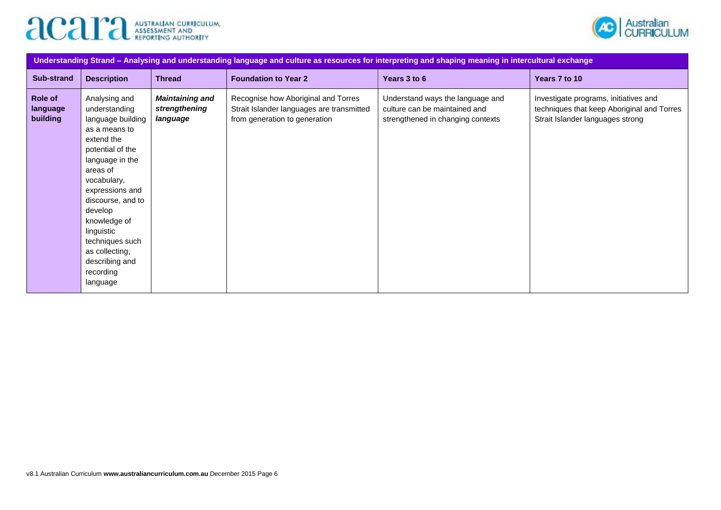



| Understanding Strand - Analysing and understanding language and culture as resources for interpreting and shaping meaning in intercultural exchange |                                                                                                                                                                                                                                                                                                                       |                                                     |                                                                                                                   |                                                                                                        |                                                                                                                         |  |  |
|-----------------------------------------------------------------------------------------------------------------------------------------------------|-----------------------------------------------------------------------------------------------------------------------------------------------------------------------------------------------------------------------------------------------------------------------------------------------------------------------|-----------------------------------------------------|-------------------------------------------------------------------------------------------------------------------|--------------------------------------------------------------------------------------------------------|-------------------------------------------------------------------------------------------------------------------------|--|--|
| <b>Sub-strand</b>                                                                                                                                   | <b>Description</b>                                                                                                                                                                                                                                                                                                    | <b>Thread</b>                                       | <b>Foundation to Year 2</b>                                                                                       | Years 3 to 6                                                                                           | Years 7 to 10                                                                                                           |  |  |
| Role of<br>language<br>building                                                                                                                     | Analysing and<br>understanding<br>language building<br>as a means to<br>extend the<br>potential of the<br>language in the<br>areas of<br>vocabulary,<br>expressions and<br>discourse, and to<br>develop<br>knowledge of<br>linguistic<br>techniques such<br>as collecting,<br>describing and<br>recording<br>language | <b>Maintaining and</b><br>strengthening<br>language | Recognise how Aboriginal and Torres<br>Strait Islander languages are transmitted<br>from generation to generation | Understand ways the language and<br>culture can be maintained and<br>strengthened in changing contexts | Investigate programs, initiatives and<br>techniques that keep Aboriginal and Torres<br>Strait Islander languages strong |  |  |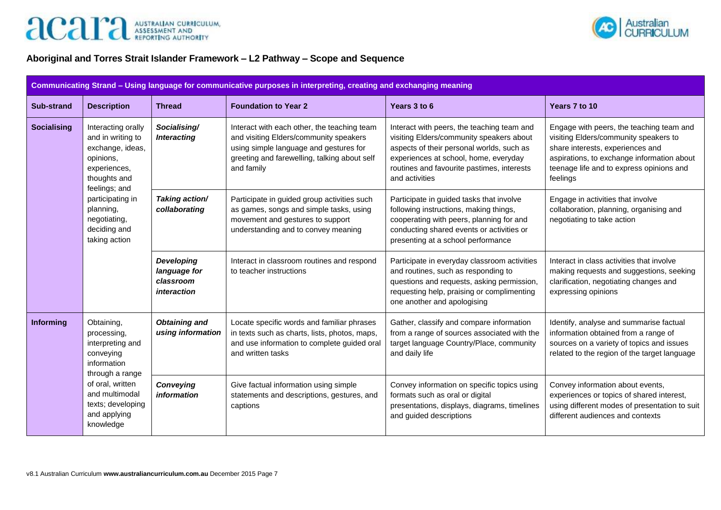



### **Aboriginal and Torres Strait Islander Framework – L2 Pathway – Scope and Sequence**

| Communicating Strand - Using language for communicative purposes in interpreting, creating and exchanging meaning |                                                                                                                                                                                      |                                                               |                                                                                                                                                                                               |                                                                                                                                                                                                                                              |                                                                                                                                                                                                                             |  |  |
|-------------------------------------------------------------------------------------------------------------------|--------------------------------------------------------------------------------------------------------------------------------------------------------------------------------------|---------------------------------------------------------------|-----------------------------------------------------------------------------------------------------------------------------------------------------------------------------------------------|----------------------------------------------------------------------------------------------------------------------------------------------------------------------------------------------------------------------------------------------|-----------------------------------------------------------------------------------------------------------------------------------------------------------------------------------------------------------------------------|--|--|
| <b>Sub-strand</b>                                                                                                 | <b>Description</b>                                                                                                                                                                   | <b>Thread</b>                                                 | <b>Foundation to Year 2</b>                                                                                                                                                                   | Years 3 to 6                                                                                                                                                                                                                                 | Years 7 to 10                                                                                                                                                                                                               |  |  |
| <b>Socialising</b>                                                                                                | Interacting orally<br>and in writing to<br>exchange, ideas,<br>opinions,<br>experiences,<br>thoughts and                                                                             | Socialising/<br><b>Interacting</b>                            | Interact with each other, the teaching team<br>and visiting Elders/community speakers<br>using simple language and gestures for<br>greeting and farewelling, talking about self<br>and family | Interact with peers, the teaching team and<br>visiting Elders/community speakers about<br>aspects of their personal worlds, such as<br>experiences at school, home, everyday<br>routines and favourite pastimes, interests<br>and activities | Engage with peers, the teaching team and<br>visiting Elders/community speakers to<br>share interests, experiences and<br>aspirations, to exchange information about<br>teenage life and to express opinions and<br>feelings |  |  |
|                                                                                                                   | feelings; and<br>participating in<br>planning,<br>negotiating,<br>deciding and<br>taking action                                                                                      | Taking action/<br>collaborating                               | Participate in guided group activities such<br>as games, songs and simple tasks, using<br>movement and gestures to support<br>understanding and to convey meaning                             | Participate in guided tasks that involve<br>following instructions, making things,<br>cooperating with peers, planning for and<br>conducting shared events or activities or<br>presenting at a school performance                            | Engage in activities that involve<br>collaboration, planning, organising and<br>negotiating to take action                                                                                                                  |  |  |
|                                                                                                                   |                                                                                                                                                                                      | <b>Developing</b><br>language for<br>classroom<br>interaction | Interact in classroom routines and respond<br>to teacher instructions                                                                                                                         | Participate in everyday classroom activities<br>and routines, such as responding to<br>questions and requests, asking permission,<br>requesting help, praising or complimenting<br>one another and apologising                               | Interact in class activities that involve<br>making requests and suggestions, seeking<br>clarification, negotiating changes and<br>expressing opinions                                                                      |  |  |
| <b>Informing</b>                                                                                                  | Obtaining,<br>processing,<br>interpreting and<br>conveying<br>information<br>through a range<br>of oral, written<br>and multimodal<br>texts; developing<br>and applying<br>knowledge | <b>Obtaining and</b><br>using information                     | Locate specific words and familiar phrases<br>in texts such as charts, lists, photos, maps,<br>and use information to complete guided oral<br>and written tasks                               | Gather, classify and compare information<br>from a range of sources associated with the<br>target language Country/Place, community<br>and daily life                                                                                        | Identify, analyse and summarise factual<br>information obtained from a range of<br>sources on a variety of topics and issues<br>related to the region of the target language                                                |  |  |
|                                                                                                                   |                                                                                                                                                                                      | <b>Conveying</b><br>information                               | Give factual information using simple<br>statements and descriptions, gestures, and<br>captions                                                                                               | Convey information on specific topics using<br>formats such as oral or digital<br>presentations, displays, diagrams, timelines<br>and guided descriptions                                                                                    | Convey information about events,<br>experiences or topics of shared interest,<br>using different modes of presentation to suit<br>different audiences and contexts                                                          |  |  |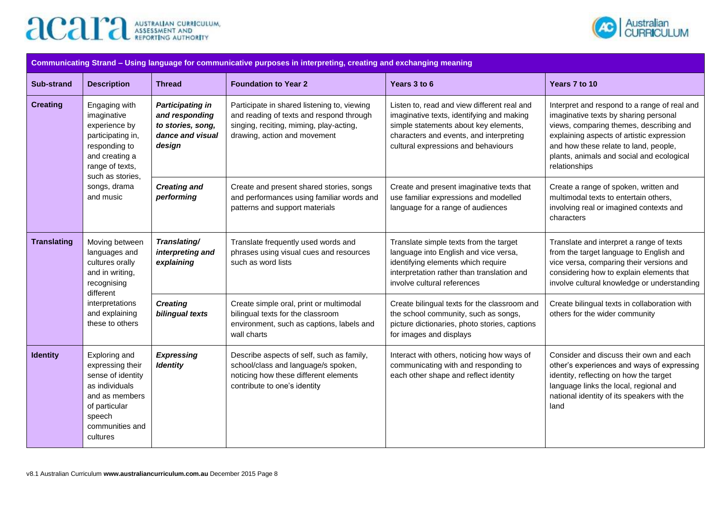



| Communicating Strand - Using language for communicative purposes in interpreting, creating and exchanging meaning |                                                                                                                                                                           |                                                                                              |                                                                                                                                                                    |                                                                                                                                                                                                                     |                                                                                                                                                                                                                                                                                      |  |
|-------------------------------------------------------------------------------------------------------------------|---------------------------------------------------------------------------------------------------------------------------------------------------------------------------|----------------------------------------------------------------------------------------------|--------------------------------------------------------------------------------------------------------------------------------------------------------------------|---------------------------------------------------------------------------------------------------------------------------------------------------------------------------------------------------------------------|--------------------------------------------------------------------------------------------------------------------------------------------------------------------------------------------------------------------------------------------------------------------------------------|--|
| <b>Sub-strand</b>                                                                                                 | <b>Description</b>                                                                                                                                                        | <b>Thread</b>                                                                                | <b>Foundation to Year 2</b>                                                                                                                                        | Years 3 to 6                                                                                                                                                                                                        | Years 7 to 10                                                                                                                                                                                                                                                                        |  |
| <b>Creating</b>                                                                                                   | Engaging with<br>imaginative<br>experience by<br>participating in,<br>responding to<br>and creating a<br>range of texts,<br>such as stories,<br>songs, drama<br>and music | <b>Participating in</b><br>and responding<br>to stories, song,<br>dance and visual<br>design | Participate in shared listening to, viewing<br>and reading of texts and respond through<br>singing, reciting, miming, play-acting,<br>drawing, action and movement | Listen to, read and view different real and<br>imaginative texts, identifying and making<br>simple statements about key elements,<br>characters and events, and interpreting<br>cultural expressions and behaviours | Interpret and respond to a range of real and<br>imaginative texts by sharing personal<br>views, comparing themes, describing and<br>explaining aspects of artistic expression<br>and how these relate to land, people,<br>plants, animals and social and ecological<br>relationships |  |
|                                                                                                                   |                                                                                                                                                                           | <b>Creating and</b><br>performing                                                            | Create and present shared stories, songs<br>and performances using familiar words and<br>patterns and support materials                                            | Create and present imaginative texts that<br>use familiar expressions and modelled<br>language for a range of audiences                                                                                             | Create a range of spoken, written and<br>multimodal texts to entertain others,<br>involving real or imagined contexts and<br>characters                                                                                                                                              |  |
| <b>Translating</b>                                                                                                | Moving between<br>languages and<br>cultures orally<br>and in writing,<br>recognising<br>different<br>interpretations<br>and explaining<br>these to others                 | Translating/<br>interpreting and<br>explaining                                               | Translate frequently used words and<br>phrases using visual cues and resources<br>such as word lists                                                               | Translate simple texts from the target<br>language into English and vice versa,<br>identifying elements which require<br>interpretation rather than translation and<br>involve cultural references                  | Translate and interpret a range of texts<br>from the target language to English and<br>vice versa, comparing their versions and<br>considering how to explain elements that<br>involve cultural knowledge or understanding                                                           |  |
|                                                                                                                   |                                                                                                                                                                           | <b>Creating</b><br>bilingual texts                                                           | Create simple oral, print or multimodal<br>bilingual texts for the classroom<br>environment, such as captions, labels and<br>wall charts                           | Create bilingual texts for the classroom and<br>the school community, such as songs,<br>picture dictionaries, photo stories, captions<br>for images and displays                                                    | Create bilingual texts in collaboration with<br>others for the wider community                                                                                                                                                                                                       |  |
| <b>Identity</b>                                                                                                   | Exploring and<br>expressing their<br>sense of identity<br>as individuals<br>and as members<br>of particular<br>speech<br>communities and<br>cultures                      | <b>Expressing</b><br><b>Identity</b>                                                         | Describe aspects of self, such as family,<br>school/class and language/s spoken,<br>noticing how these different elements<br>contribute to one's identity          | Interact with others, noticing how ways of<br>communicating with and responding to<br>each other shape and reflect identity                                                                                         | Consider and discuss their own and each<br>other's experiences and ways of expressing<br>identity, reflecting on how the target<br>language links the local, regional and<br>national identity of its speakers with the<br>land                                                      |  |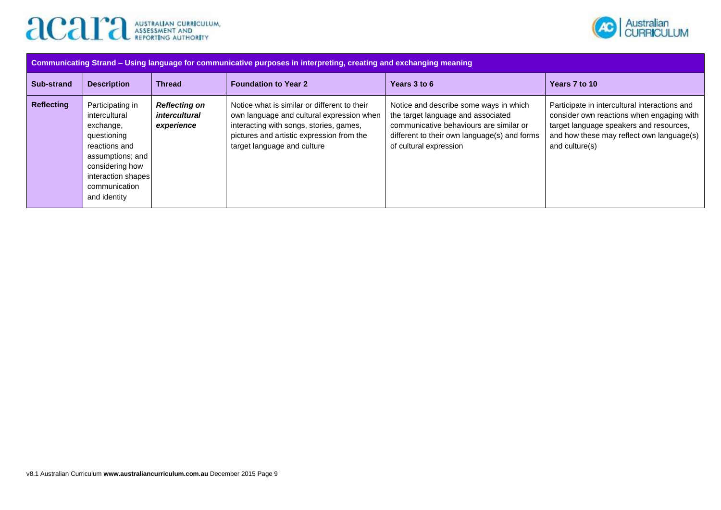



| Communicating Strand - Using language for communicative purposes in interpreting, creating and exchanging meaning |                                                                                                                                                                              |                                                            |                                                                                                                                                                                                                  |                                                                                                                                                                                                   |                                                                                                                                                                                                      |  |  |  |
|-------------------------------------------------------------------------------------------------------------------|------------------------------------------------------------------------------------------------------------------------------------------------------------------------------|------------------------------------------------------------|------------------------------------------------------------------------------------------------------------------------------------------------------------------------------------------------------------------|---------------------------------------------------------------------------------------------------------------------------------------------------------------------------------------------------|------------------------------------------------------------------------------------------------------------------------------------------------------------------------------------------------------|--|--|--|
| Sub-strand                                                                                                        | <b>Description</b>                                                                                                                                                           | <b>Thread</b>                                              | <b>Foundation to Year 2</b>                                                                                                                                                                                      | Years 3 to 6                                                                                                                                                                                      | Years 7 to 10                                                                                                                                                                                        |  |  |  |
| <b>Reflecting</b>                                                                                                 | Participating in<br>intercultural<br>exchange,<br>questioning<br>reactions and<br>assumptions; and<br>considering how<br>interaction shapes<br>communication<br>and identity | <b>Reflecting on</b><br><i>intercultural</i><br>experience | Notice what is similar or different to their<br>own language and cultural expression when<br>interacting with songs, stories, games,<br>pictures and artistic expression from the<br>target language and culture | Notice and describe some ways in which<br>the target language and associated<br>communicative behaviours are similar or<br>different to their own language(s) and forms<br>of cultural expression | Participate in intercultural interactions and<br>consider own reactions when engaging with<br>target language speakers and resources,<br>and how these may reflect own language(s)<br>and culture(s) |  |  |  |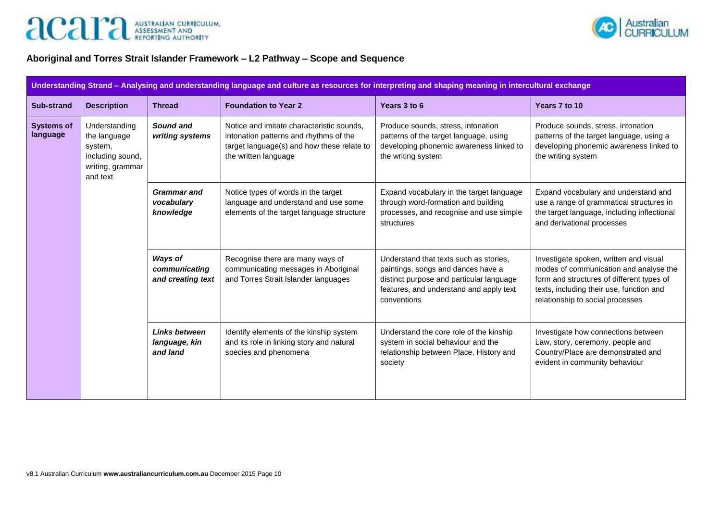



# **Aboriginal and Torres Strait Islander Framework – L2 Pathway – Scope and Sequence**

| Understanding Strand - Analysing and understanding language and culture as resources for interpreting and shaping meaning in intercultural exchange |                                                                                              |                                                      |                                                                                                                                                           |                                                                                                                                                                                    |                                                                                                                                                                                                               |  |  |
|-----------------------------------------------------------------------------------------------------------------------------------------------------|----------------------------------------------------------------------------------------------|------------------------------------------------------|-----------------------------------------------------------------------------------------------------------------------------------------------------------|------------------------------------------------------------------------------------------------------------------------------------------------------------------------------------|---------------------------------------------------------------------------------------------------------------------------------------------------------------------------------------------------------------|--|--|
| <b>Sub-strand</b>                                                                                                                                   | <b>Description</b>                                                                           | <b>Thread</b>                                        | <b>Foundation to Year 2</b>                                                                                                                               | Years 3 to 6                                                                                                                                                                       | Years 7 to 10                                                                                                                                                                                                 |  |  |
| <b>Systems of</b><br>language                                                                                                                       | Understanding<br>the language<br>system,<br>including sound,<br>writing, grammar<br>and text | Sound and<br>writing systems                         | Notice and imitate characteristic sounds,<br>intonation patterns and rhythms of the<br>target language(s) and how these relate to<br>the written language | Produce sounds, stress, intonation<br>patterns of the target language, using<br>developing phonemic awareness linked to<br>the writing system                                      | Produce sounds, stress, intonation<br>patterns of the target language, using a<br>developing phonemic awareness linked to<br>the writing system                                                               |  |  |
|                                                                                                                                                     |                                                                                              | <b>Grammar</b> and<br>vocabulary<br>knowledge        | Notice types of words in the target<br>language and understand and use some<br>elements of the target language structure                                  | Expand vocabulary in the target language<br>through word-formation and building<br>processes, and recognise and use simple<br>structures                                           | Expand vocabulary and understand and<br>use a range of grammatical structures in<br>the target language, including inflectional<br>and derivational processes                                                 |  |  |
|                                                                                                                                                     |                                                                                              | <b>Ways of</b><br>communicating<br>and creating text | Recognise there are many ways of<br>communicating messages in Aboriginal<br>and Torres Strait Islander languages                                          | Understand that texts such as stories,<br>paintings, songs and dances have a<br>distinct purpose and particular language<br>features, and understand and apply text<br>conventions | Investigate spoken, written and visual<br>modes of communication and analyse the<br>form and structures of different types of<br>texts, including their use, function and<br>relationship to social processes |  |  |
|                                                                                                                                                     |                                                                                              | <b>Links between</b><br>language, kin<br>and land    | Identify elements of the kinship system<br>and its role in linking story and natural<br>species and phenomena                                             | Understand the core role of the kinship<br>system in social behaviour and the<br>relationship between Place, History and<br>society                                                | Investigate how connections between<br>Law, story, ceremony, people and<br>Country/Place are demonstrated and<br>evident in community behaviour                                                               |  |  |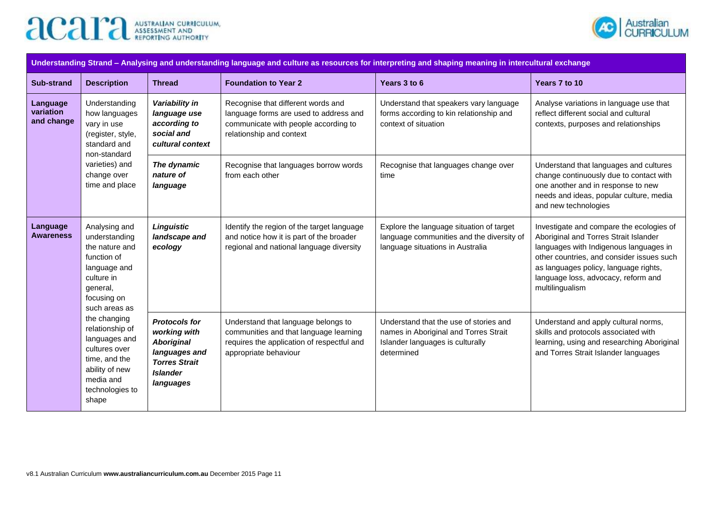



| Understanding Strand - Analysing and understanding language and culture as resources for interpreting and shaping meaning in intercultural exchange |                                                                                                                                                                                                                                                                                                                            |                                                                                                                                    |                                                                                                                                                      |                                                                                                                                                  |                                                                                                                                                                                            |                                                                                                                                                                                                                                                                             |  |
|-----------------------------------------------------------------------------------------------------------------------------------------------------|----------------------------------------------------------------------------------------------------------------------------------------------------------------------------------------------------------------------------------------------------------------------------------------------------------------------------|------------------------------------------------------------------------------------------------------------------------------------|------------------------------------------------------------------------------------------------------------------------------------------------------|--------------------------------------------------------------------------------------------------------------------------------------------------|--------------------------------------------------------------------------------------------------------------------------------------------------------------------------------------------|-----------------------------------------------------------------------------------------------------------------------------------------------------------------------------------------------------------------------------------------------------------------------------|--|
| <b>Sub-strand</b>                                                                                                                                   |                                                                                                                                                                                                                                                                                                                            | <b>Description</b>                                                                                                                 | <b>Thread</b>                                                                                                                                        | <b>Foundation to Year 2</b>                                                                                                                      | Years 3 to 6                                                                                                                                                                               | Years 7 to 10                                                                                                                                                                                                                                                               |  |
|                                                                                                                                                     | Understanding<br>Language<br>variation<br>how languages<br>and change<br>vary in use<br>(register, style,<br>standard and                                                                                                                                                                                                  | non-standard                                                                                                                       | Variability in<br>language use<br>according to<br>social and<br>cultural context                                                                     | Recognise that different words and<br>language forms are used to address and<br>communicate with people according to<br>relationship and context | Understand that speakers vary language<br>forms according to kin relationship and<br>context of situation                                                                                  | Analyse variations in language use that<br>reflect different social and cultural<br>contexts, purposes and relationships                                                                                                                                                    |  |
|                                                                                                                                                     | varieties) and<br>change over<br>time and place                                                                                                                                                                                                                                                                            | The dynamic<br>nature of<br>language                                                                                               | Recognise that languages borrow words<br>from each other                                                                                             | Recognise that languages change over<br>time                                                                                                     | Understand that languages and cultures<br>change continuously due to contact with<br>one another and in response to new<br>needs and ideas, popular culture, media<br>and new technologies |                                                                                                                                                                                                                                                                             |  |
|                                                                                                                                                     | Language<br>Analysing and<br><b>Awareness</b><br>understanding<br>the nature and<br>function of<br>language and<br>culture in<br>general,<br>focusing on<br>such areas as<br>the changing<br>relationship of<br>languages and<br>cultures over<br>time, and the<br>ability of new<br>media and<br>technologies to<br>shape |                                                                                                                                    | <b>Linguistic</b><br>landscape and<br>ecology                                                                                                        | Identify the region of the target language<br>and notice how it is part of the broader<br>regional and national language diversity               | Explore the language situation of target<br>language communities and the diversity of<br>language situations in Australia                                                                  | Investigate and compare the ecologies of<br>Aboriginal and Torres Strait Islander<br>languages with Indigenous languages in<br>other countries, and consider issues such<br>as languages policy, language rights,<br>language loss, advocacy, reform and<br>multilingualism |  |
|                                                                                                                                                     |                                                                                                                                                                                                                                                                                                                            | <b>Protocols for</b><br>working with<br><b>Aboriginal</b><br>languages and<br><b>Torres Strait</b><br><b>Islander</b><br>languages | Understand that language belongs to<br>communities and that language learning<br>requires the application of respectful and<br>appropriate behaviour | Understand that the use of stories and<br>names in Aboriginal and Torres Strait<br>Islander languages is culturally<br>determined                | Understand and apply cultural norms,<br>skills and protocols associated with<br>learning, using and researching Aboriginal<br>and Torres Strait Islander languages                         |                                                                                                                                                                                                                                                                             |  |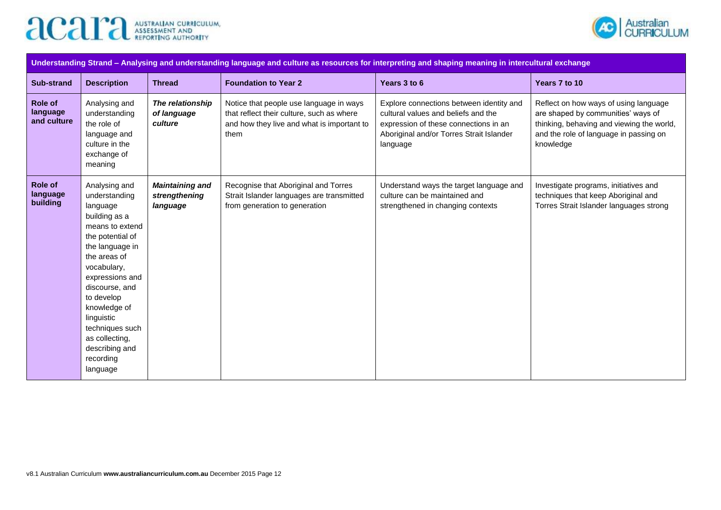



| Understanding Strand - Analysing and understanding language and culture as resources for interpreting and shaping meaning in intercultural exchange |                                                                                                                                                                                                                                                                                                                       |                                                     |                                                                                                                                            |                                                                                                                                                                                  |                                                                                                                                                                                 |  |  |
|-----------------------------------------------------------------------------------------------------------------------------------------------------|-----------------------------------------------------------------------------------------------------------------------------------------------------------------------------------------------------------------------------------------------------------------------------------------------------------------------|-----------------------------------------------------|--------------------------------------------------------------------------------------------------------------------------------------------|----------------------------------------------------------------------------------------------------------------------------------------------------------------------------------|---------------------------------------------------------------------------------------------------------------------------------------------------------------------------------|--|--|
| <b>Sub-strand</b>                                                                                                                                   | <b>Description</b>                                                                                                                                                                                                                                                                                                    | <b>Thread</b>                                       | <b>Foundation to Year 2</b>                                                                                                                | Years 3 to 6                                                                                                                                                                     | Years 7 to 10                                                                                                                                                                   |  |  |
| Role of<br>language<br>and culture                                                                                                                  | Analysing and<br>understanding<br>the role of<br>language and<br>culture in the<br>exchange of<br>meaning                                                                                                                                                                                                             | The relationship<br>of language<br>culture          | Notice that people use language in ways<br>that reflect their culture, such as where<br>and how they live and what is important to<br>them | Explore connections between identity and<br>cultural values and beliefs and the<br>expression of these connections in an<br>Aboriginal and/or Torres Strait Islander<br>language | Reflect on how ways of using language<br>are shaped by communities' ways of<br>thinking, behaving and viewing the world,<br>and the role of language in passing on<br>knowledge |  |  |
| <b>Role of</b><br>language<br>building                                                                                                              | Analysing and<br>understanding<br>language<br>building as a<br>means to extend<br>the potential of<br>the language in<br>the areas of<br>vocabulary,<br>expressions and<br>discourse, and<br>to develop<br>knowledge of<br>linguistic<br>techniques such<br>as collecting,<br>describing and<br>recording<br>language | <b>Maintaining and</b><br>strengthening<br>language | Recognise that Aboriginal and Torres<br>Strait Islander languages are transmitted<br>from generation to generation                         | Understand ways the target language and<br>culture can be maintained and<br>strengthened in changing contexts                                                                    | Investigate programs, initiatives and<br>techniques that keep Aboriginal and<br>Torres Strait Islander languages strong                                                         |  |  |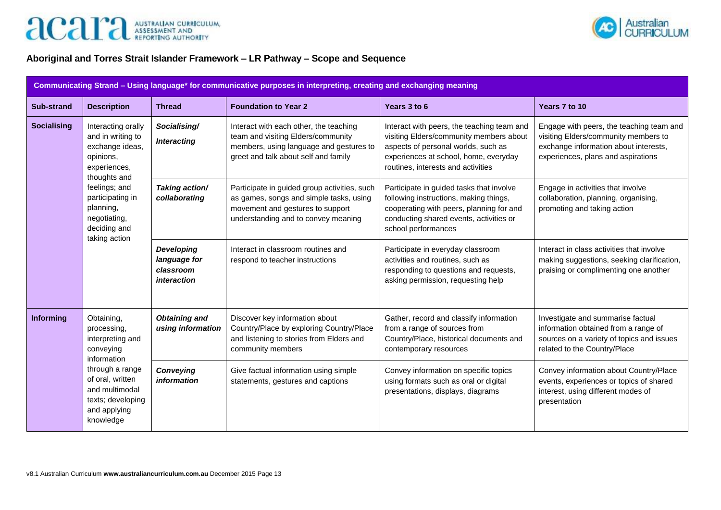



# **Aboriginal and Torres Strait Islander Framework – LR Pathway – Scope and Sequence**

| Communicating Strand - Using language* for communicative purposes in interpreting, creating and exchanging meaning |                                                                                                                                                                                                            |                                                               |                                                                                                                                                                    |                                                                                                                                                                                                             |                                                                                                                                                                 |  |
|--------------------------------------------------------------------------------------------------------------------|------------------------------------------------------------------------------------------------------------------------------------------------------------------------------------------------------------|---------------------------------------------------------------|--------------------------------------------------------------------------------------------------------------------------------------------------------------------|-------------------------------------------------------------------------------------------------------------------------------------------------------------------------------------------------------------|-----------------------------------------------------------------------------------------------------------------------------------------------------------------|--|
| <b>Sub-strand</b>                                                                                                  | <b>Description</b>                                                                                                                                                                                         | <b>Thread</b>                                                 | <b>Foundation to Year 2</b>                                                                                                                                        | Years 3 to 6                                                                                                                                                                                                | Years 7 to 10                                                                                                                                                   |  |
| <b>Socialising</b>                                                                                                 | Interacting orally<br>and in writing to<br>exchange ideas,<br>opinions,<br>experiences,<br>thoughts and<br>feelings; and<br>participating in<br>planning,<br>negotiating,<br>deciding and<br>taking action | Socialising/<br><b>Interacting</b>                            | Interact with each other, the teaching<br>team and visiting Elders/community<br>members, using language and gestures to<br>greet and talk about self and family    | Interact with peers, the teaching team and<br>visiting Elders/community members about<br>aspects of personal worlds, such as<br>experiences at school, home, everyday<br>routines, interests and activities | Engage with peers, the teaching team and<br>visiting Elders/community members to<br>exchange information about interests,<br>experiences, plans and aspirations |  |
|                                                                                                                    |                                                                                                                                                                                                            | Taking action/<br>collaborating                               | Participate in guided group activities, such<br>as games, songs and simple tasks, using<br>movement and gestures to support<br>understanding and to convey meaning | Participate in guided tasks that involve<br>following instructions, making things,<br>cooperating with peers, planning for and<br>conducting shared events, activities or<br>school performances            | Engage in activities that involve<br>collaboration, planning, organising,<br>promoting and taking action                                                        |  |
|                                                                                                                    |                                                                                                                                                                                                            | <b>Developing</b><br>language for<br>classroom<br>interaction | Interact in classroom routines and<br>respond to teacher instructions                                                                                              | Participate in everyday classroom<br>activities and routines, such as<br>responding to questions and requests,<br>asking permission, requesting help                                                        | Interact in class activities that involve<br>making suggestions, seeking clarification,<br>praising or complimenting one another                                |  |
| <b>Informing</b>                                                                                                   | Obtaining,<br>processing,<br>interpreting and<br>conveying<br>information<br>through a range<br>of oral, written<br>and multimodal<br>texts; developing<br>and applying<br>knowledge                       | <b>Obtaining and</b><br>using information                     | Discover key information about<br>Country/Place by exploring Country/Place<br>and listening to stories from Elders and<br>community members                        | Gather, record and classify information<br>from a range of sources from<br>Country/Place, historical documents and<br>contemporary resources                                                                | Investigate and summarise factual<br>information obtained from a range of<br>sources on a variety of topics and issues<br>related to the Country/Place          |  |
|                                                                                                                    |                                                                                                                                                                                                            | Conveying<br><i>information</i>                               | Give factual information using simple<br>statements, gestures and captions                                                                                         | Convey information on specific topics<br>using formats such as oral or digital<br>presentations, displays, diagrams                                                                                         | Convey information about Country/Place<br>events, experiences or topics of shared<br>interest, using different modes of<br>presentation                         |  |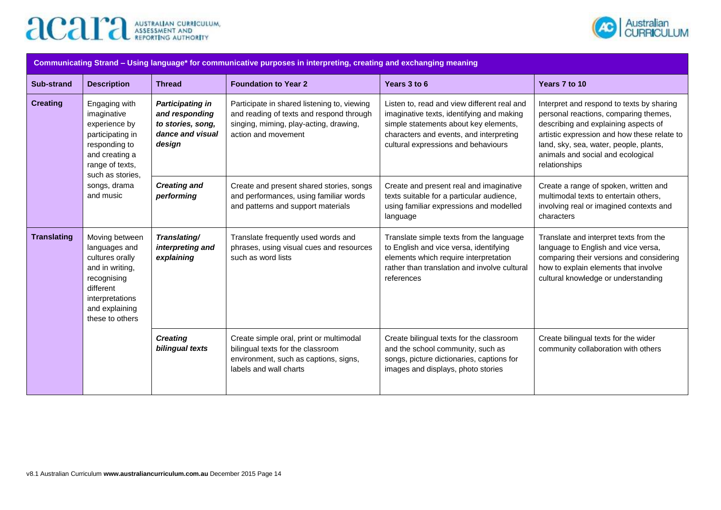



| Communicating Strand - Using language* for communicative purposes in interpreting, creating and exchanging meaning |                                                                                                                                                           |                                                                                                                          |                                                                                                                                                          |                                                                                                                                                                                                                     |                                                                                                                                                                                                                                                                           |  |
|--------------------------------------------------------------------------------------------------------------------|-----------------------------------------------------------------------------------------------------------------------------------------------------------|--------------------------------------------------------------------------------------------------------------------------|----------------------------------------------------------------------------------------------------------------------------------------------------------|---------------------------------------------------------------------------------------------------------------------------------------------------------------------------------------------------------------------|---------------------------------------------------------------------------------------------------------------------------------------------------------------------------------------------------------------------------------------------------------------------------|--|
| <b>Sub-strand</b>                                                                                                  | <b>Description</b>                                                                                                                                        | <b>Thread</b>                                                                                                            | <b>Foundation to Year 2</b>                                                                                                                              | Years 3 to 6                                                                                                                                                                                                        | Years 7 to 10                                                                                                                                                                                                                                                             |  |
| <b>Creating</b>                                                                                                    | Engaging with<br>imaginative<br>experience by<br>participating in<br>responding to<br>and creating a<br>range of texts,<br>such as stories,               | <b>Participating in</b><br>and responding<br>to stories, song,<br>dance and visual<br>design                             | Participate in shared listening to, viewing<br>and reading of texts and respond through<br>singing, miming, play-acting, drawing,<br>action and movement | Listen to, read and view different real and<br>imaginative texts, identifying and making<br>simple statements about key elements,<br>characters and events, and interpreting<br>cultural expressions and behaviours | Interpret and respond to texts by sharing<br>personal reactions, comparing themes,<br>describing and explaining aspects of<br>artistic expression and how these relate to<br>land, sky, sea, water, people, plants,<br>animals and social and ecological<br>relationships |  |
| songs, drama<br>and music                                                                                          | <b>Creating and</b><br>performing                                                                                                                         | Create and present shared stories, songs<br>and performances, using familiar words<br>and patterns and support materials | Create and present real and imaginative<br>texts suitable for a particular audience,<br>using familiar expressions and modelled<br>language              | Create a range of spoken, written and<br>multimodal texts to entertain others,<br>involving real or imagined contexts and<br>characters                                                                             |                                                                                                                                                                                                                                                                           |  |
| <b>Translating</b>                                                                                                 | Moving between<br>languages and<br>cultures orally<br>and in writing,<br>recognising<br>different<br>interpretations<br>and explaining<br>these to others | Translating/<br>interpreting and<br>explaining                                                                           | Translate frequently used words and<br>phrases, using visual cues and resources<br>such as word lists                                                    | Translate simple texts from the language<br>to English and vice versa, identifying<br>elements which require interpretation<br>rather than translation and involve cultural<br>references                           | Translate and interpret texts from the<br>language to English and vice versa,<br>comparing their versions and considering<br>how to explain elements that involve<br>cultural knowledge or understanding                                                                  |  |
|                                                                                                                    |                                                                                                                                                           | <b>Creating</b><br>bilingual texts                                                                                       | Create simple oral, print or multimodal<br>bilingual texts for the classroom<br>environment, such as captions, signs,<br>labels and wall charts          | Create bilingual texts for the classroom<br>and the school community, such as<br>songs, picture dictionaries, captions for<br>images and displays, photo stories                                                    | Create bilingual texts for the wider<br>community collaboration with others                                                                                                                                                                                               |  |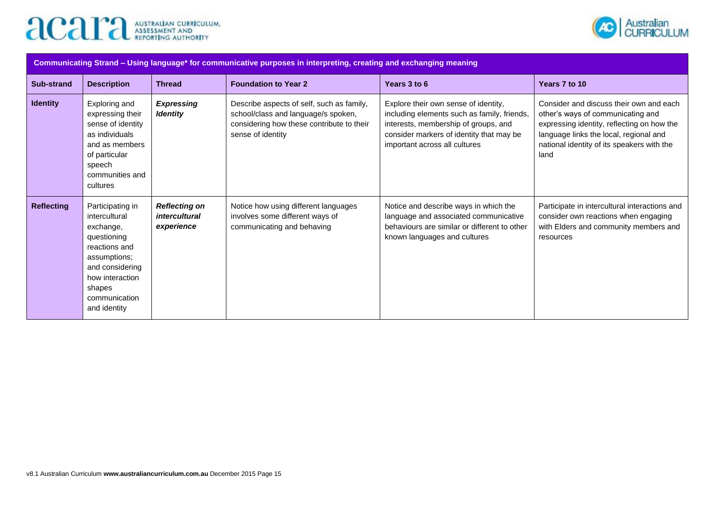



| Communicating Strand – Using language* for communicative purposes in interpreting, creating and exchanging meaning |                                                                                                                                                                                 |                                                     |                                                                                                                                                    |                                                                                                                                                                                                          |                                                                                                                                                                                                                            |  |  |
|--------------------------------------------------------------------------------------------------------------------|---------------------------------------------------------------------------------------------------------------------------------------------------------------------------------|-----------------------------------------------------|----------------------------------------------------------------------------------------------------------------------------------------------------|----------------------------------------------------------------------------------------------------------------------------------------------------------------------------------------------------------|----------------------------------------------------------------------------------------------------------------------------------------------------------------------------------------------------------------------------|--|--|
| <b>Sub-strand</b>                                                                                                  | <b>Description</b>                                                                                                                                                              | <b>Thread</b>                                       | <b>Foundation to Year 2</b>                                                                                                                        | Years 3 to 6                                                                                                                                                                                             | Years 7 to 10                                                                                                                                                                                                              |  |  |
| <b>Identity</b>                                                                                                    | Exploring and<br>expressing their<br>sense of identity<br>as individuals<br>and as members<br>of particular<br>speech<br>communities and<br>cultures                            | <b>Expressing</b><br><b>Identity</b>                | Describe aspects of self, such as family,<br>school/class and language/s spoken,<br>considering how these contribute to their<br>sense of identity | Explore their own sense of identity,<br>including elements such as family, friends,<br>interests, membership of groups, and<br>consider markers of identity that may be<br>important across all cultures | Consider and discuss their own and each<br>other's ways of communicating and<br>expressing identity, reflecting on how the<br>language links the local, regional and<br>national identity of its speakers with the<br>land |  |  |
| <b>Reflecting</b>                                                                                                  | Participating in<br>intercultural<br>exchange,<br>questioning<br>reactions and<br>assumptions;<br>and considering<br>how interaction<br>shapes<br>communication<br>and identity | <b>Reflecting on</b><br>intercultural<br>experience | Notice how using different languages<br>involves some different ways of<br>communicating and behaving                                              | Notice and describe ways in which the<br>language and associated communicative<br>behaviours are similar or different to other<br>known languages and cultures                                           | Participate in intercultural interactions and<br>consider own reactions when engaging<br>with Elders and community members and<br>resources                                                                                |  |  |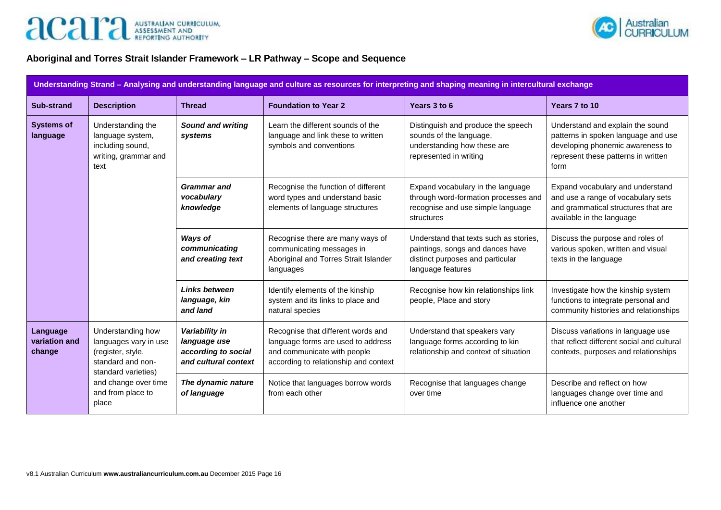



### **Aboriginal and Torres Strait Islander Framework – LR Pathway – Scope and Sequence**

| Understanding Strand - Analysing and understanding language and culture as resources for interpreting and shaping meaning in intercultural exchange |                                                                                                             |                                                                               |                                                                                                                                                  |                                                                                                                                     |                                                                                                                                                            |  |  |
|-----------------------------------------------------------------------------------------------------------------------------------------------------|-------------------------------------------------------------------------------------------------------------|-------------------------------------------------------------------------------|--------------------------------------------------------------------------------------------------------------------------------------------------|-------------------------------------------------------------------------------------------------------------------------------------|------------------------------------------------------------------------------------------------------------------------------------------------------------|--|--|
| Sub-strand                                                                                                                                          | <b>Description</b>                                                                                          | <b>Thread</b>                                                                 | <b>Foundation to Year 2</b>                                                                                                                      | Years 3 to 6                                                                                                                        | Years 7 to 10                                                                                                                                              |  |  |
| <b>Systems of</b><br>language                                                                                                                       | Understanding the<br>language system,<br>including sound,<br>writing, grammar and<br>text                   | <b>Sound and writing</b><br>systems                                           | Learn the different sounds of the<br>language and link these to written<br>symbols and conventions                                               | Distinguish and produce the speech<br>sounds of the language,<br>understanding how these are<br>represented in writing              | Understand and explain the sound<br>patterns in spoken language and use<br>developing phonemic awareness to<br>represent these patterns in written<br>form |  |  |
|                                                                                                                                                     |                                                                                                             | <b>Grammar</b> and<br>vocabulary<br>knowledge                                 | Recognise the function of different<br>word types and understand basic<br>elements of language structures                                        | Expand vocabulary in the language<br>through word-formation processes and<br>recognise and use simple language<br>structures        | Expand vocabulary and understand<br>and use a range of vocabulary sets<br>and grammatical structures that are<br>available in the language                 |  |  |
|                                                                                                                                                     |                                                                                                             | Ways of<br>communicating<br>and creating text                                 | Recognise there are many ways of<br>communicating messages in<br>Aboriginal and Torres Strait Islander<br>languages                              | Understand that texts such as stories,<br>paintings, songs and dances have<br>distinct purposes and particular<br>language features | Discuss the purpose and roles of<br>various spoken, written and visual<br>texts in the language                                                            |  |  |
|                                                                                                                                                     |                                                                                                             | <b>Links between</b><br>language, kin<br>and land                             | Identify elements of the kinship<br>system and its links to place and<br>natural species                                                         | Recognise how kin relationships link<br>people, Place and story                                                                     | Investigate how the kinship system<br>functions to integrate personal and<br>community histories and relationships                                         |  |  |
| Language<br>variation and<br>change                                                                                                                 | Understanding how<br>languages vary in use<br>(register, style,<br>standard and non-<br>standard varieties) | Variability in<br>language use<br>according to social<br>and cultural context | Recognise that different words and<br>language forms are used to address<br>and communicate with people<br>according to relationship and context | Understand that speakers vary<br>language forms according to kin<br>relationship and context of situation                           | Discuss variations in language use<br>that reflect different social and cultural<br>contexts, purposes and relationships                                   |  |  |
|                                                                                                                                                     | and change over time<br>and from place to<br>place                                                          | The dynamic nature<br>of language                                             | Notice that languages borrow words<br>from each other                                                                                            | Recognise that languages change<br>over time                                                                                        | Describe and reflect on how<br>languages change over time and<br>influence one another                                                                     |  |  |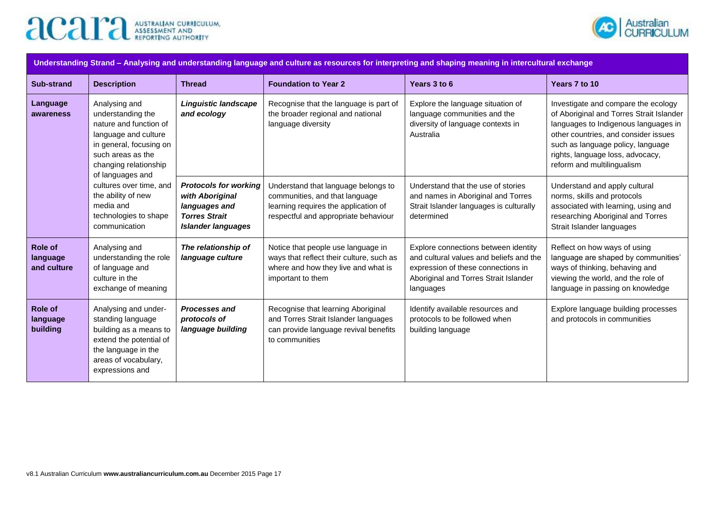



| Understanding Strand - Analysing and understanding language and culture as resources for interpreting and shaping meaning in intercultural exchange |                                                                                                                                                                                                                                                                                           |                                                                                                                       |                                                                                                                                                       |                                                                                                                                                                             |                                                                                                                                                                                                                                                                        |  |  |
|-----------------------------------------------------------------------------------------------------------------------------------------------------|-------------------------------------------------------------------------------------------------------------------------------------------------------------------------------------------------------------------------------------------------------------------------------------------|-----------------------------------------------------------------------------------------------------------------------|-------------------------------------------------------------------------------------------------------------------------------------------------------|-----------------------------------------------------------------------------------------------------------------------------------------------------------------------------|------------------------------------------------------------------------------------------------------------------------------------------------------------------------------------------------------------------------------------------------------------------------|--|--|
| <b>Sub-strand</b>                                                                                                                                   | <b>Description</b>                                                                                                                                                                                                                                                                        | <b>Thread</b>                                                                                                         | <b>Foundation to Year 2</b>                                                                                                                           | Years 3 to 6                                                                                                                                                                | Years 7 to 10                                                                                                                                                                                                                                                          |  |  |
| Language<br>awareness                                                                                                                               | Analysing and<br>understanding the<br>nature and function of<br>language and culture<br>in general, focusing on<br>such areas as the<br>changing relationship<br>of languages and<br>cultures over time, and<br>the ability of new<br>media and<br>technologies to shape<br>communication | <b>Linguistic landscape</b><br>and ecology                                                                            | Recognise that the language is part of<br>the broader regional and national<br>language diversity                                                     | Explore the language situation of<br>language communities and the<br>diversity of language contexts in<br>Australia                                                         | Investigate and compare the ecology<br>of Aboriginal and Torres Strait Islander<br>languages to Indigenous languages in<br>other countries, and consider issues<br>such as language policy, language<br>rights, language loss, advocacy,<br>reform and multilingualism |  |  |
|                                                                                                                                                     |                                                                                                                                                                                                                                                                                           | <b>Protocols for working</b><br>with Aboriginal<br>languages and<br><b>Torres Strait</b><br><b>Islander languages</b> | Understand that language belongs to<br>communities, and that language<br>learning requires the application of<br>respectful and appropriate behaviour | Understand that the use of stories<br>and names in Aboriginal and Torres<br>Strait Islander languages is culturally<br>determined                                           | Understand and apply cultural<br>norms, skills and protocols<br>associated with learning, using and<br>researching Aboriginal and Torres<br>Strait Islander languages                                                                                                  |  |  |
| Role of<br>language<br>and culture                                                                                                                  | Analysing and<br>understanding the role<br>of language and<br>culture in the<br>exchange of meaning                                                                                                                                                                                       | The relationship of<br>language culture                                                                               | Notice that people use language in<br>ways that reflect their culture, such as<br>where and how they live and what is<br>important to them            | Explore connections between identity<br>and cultural values and beliefs and the<br>expression of these connections in<br>Aboriginal and Torres Strait Islander<br>languages | Reflect on how ways of using<br>language are shaped by communities'<br>ways of thinking, behaving and<br>viewing the world, and the role of<br>language in passing on knowledge                                                                                        |  |  |
| Role of<br>language<br>building                                                                                                                     | Analysing and under-<br>standing language<br>building as a means to<br>extend the potential of<br>the language in the<br>areas of vocabulary,<br>expressions and                                                                                                                          | <b>Processes and</b><br>protocols of<br>language building                                                             | Recognise that learning Aboriginal<br>and Torres Strait Islander languages<br>can provide language revival benefits<br>to communities                 | Identify available resources and<br>protocols to be followed when<br>building language                                                                                      | Explore language building processes<br>and protocols in communities                                                                                                                                                                                                    |  |  |